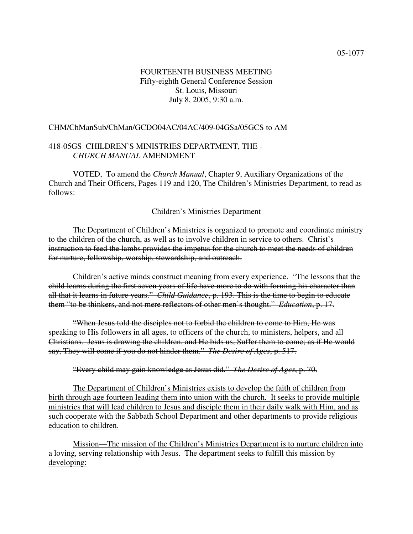# FOURTEENTH BUSINESS MEETING Fifty-eighth General Conference Session St. Louis, Missouri July 8, 2005, 9:30 a.m.

#### CHM/ChManSub/ChMan/GCDO04AC/04AC/409-04GSa/05GCS to AM

### 418-05GS CHILDREN'S MINISTRIES DEPARTMENT, THE - *CHURCH MANUAL* AMENDMENT

VOTED, To amend the *Church Manual*, Chapter 9, Auxiliary Organizations of the Church and Their Officers, Pages 119 and 120, The Children's Ministries Department, to read as follows:

#### Children's Ministries Department

The Department of Children's Ministries is organized to promote and coordinate ministry to the children of the church, as well as to involve children in service to others. Christ's instruction to feed the lambs provides the impetus for the church to meet the needs of children for nurture, fellowship, worship, stewardship, and outreach.

Children's active minds construct meaning from every experience. "The lessons that the child learns during the first seven years of life have more to do with forming his character than all that it learns in future years." *Child Guidance*, p. 193. This is the time to begin to educate them "to be thinkers, and not mere reflectors of other men's thought." *Education*, p. 17.

"When Jesus told the disciples not to forbid the children to come to Him, He was speaking to His followers in all ages, to officers of the church, to ministers, helpers, and all Christians. Jesus is drawing the children, and He bids us, Suffer them to come; as if He would say, They will come if you do not hinder them." *The Desire of Ages*, p. 517.

"Every child may gain knowledge as Jesus did." *The Desire of Ages*, p. 70.

The Department of Children's Ministries exists to develop the faith of children from birth through age fourteen leading them into union with the church. It seeks to provide multiple ministries that will lead children to Jesus and disciple them in their daily walk with Him, and as such cooperate with the Sabbath School Department and other departments to provide religious education to children.

Mission—The mission of the Children's Ministries Department is to nurture children into a loving, serving relationship with Jesus. The department seeks to fulfill this mission by developing: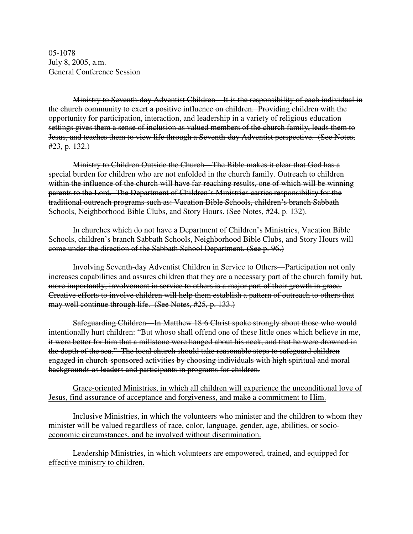05-1078 July 8, 2005, a.m. General Conference Session

Ministry to Seventh-day Adventist Children—It is the responsibility of each individual in the church community to exert a positive influence on children. Providing children with the opportunity for participation, interaction, and leadership in a variety of religious education settings gives them a sense of inclusion as valued members of the church family, leads them to Jesus, and teaches them to view life through a Seventh-day Adventist perspective. (See Notes,  $#23, p. 132.$ 

Ministry to Children Outside the Church—The Bible makes it clear that God has a special burden for children who are not enfolded in the church family. Outreach to children within the influence of the church will have far-reaching results, one of which will be winning parents to the Lord. The Department of Children's Ministries carries responsibility for the traditional outreach programs such as: Vacation Bible Schools, children's branch Sabbath Schools, Neighborhood Bible Clubs, and Story Hours. (See Notes, #24, p. 132).

In churches which do not have a Department of Children's Ministries, Vacation Bible Schools, children's branch Sabbath Schools, Neighborhood Bible Clubs, and Story Hours will come under the direction of the Sabbath School Department. (See p. 96.)

Involving Seventh-day Adventist Children in Service to Others—Participation not only increases capabilities and assures children that they are a necessary part of the church family but, more importantly, involvement in service to others is a major part of their growth in grace. Creative efforts to involve children will help them establish a pattern of outreach to others that may well continue through life. (See Notes, #25, p. 133.)

Safeguarding Children—In Matthew 18:6 Christ spoke strongly about those who would intentionally hurt children: "But whoso shall offend one of these little ones which believe in me, it were better for him that a millstone were hanged about his neck, and that he were drowned in the depth of the sea." The local church should take reasonable steps to safeguard children engaged in church-sponsored activities by choosing individuals with high spiritual and moral backgrounds as leaders and participants in programs for children.

Grace-oriented Ministries, in which all children will experience the unconditional love of Jesus, find assurance of acceptance and forgiveness, and make a commitment to Him.

Inclusive Ministries, in which the volunteers who minister and the children to whom they minister will be valued regardless of race, color, language, gender, age, abilities, or socioeconomic circumstances, and be involved without discrimination.

Leadership Ministries, in which volunteers are empowered, trained, and equipped for effective ministry to children.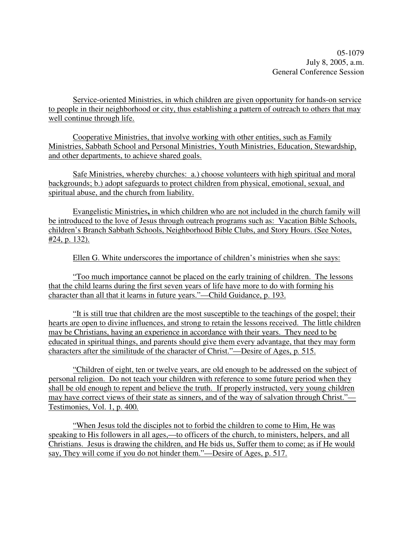05-1079 July 8, 2005, a.m. General Conference Session

Service-oriented Ministries, in which children are given opportunity for hands-on service to people in their neighborhood or city, thus establishing a pattern of outreach to others that may well continue through life.

Cooperative Ministries, that involve working with other entities, such as Family Ministries, Sabbath School and Personal Ministries, Youth Ministries, Education, Stewardship, and other departments, to achieve shared goals.

Safe Ministries, whereby churches: a.) choose volunteers with high spiritual and moral backgrounds; b.) adopt safeguards to protect children from physical, emotional, sexual, and spiritual abuse, and the church from liability.

Evangelistic Ministries**,** in which children who are not included in the church family will be introduced to the love of Jesus through outreach programs such as: Vacation Bible Schools, children's Branch Sabbath Schools, Neighborhood Bible Clubs, and Story Hours. (See Notes, #24, p. 132).

Ellen G. White underscores the importance of children's ministries when she says:

"Too much importance cannot be placed on the early training of children. The lessons that the child learns during the first seven years of life have more to do with forming his character than all that it learns in future years."—Child Guidance, p. 193.

"It is still true that children are the most susceptible to the teachings of the gospel; their hearts are open to divine influences, and strong to retain the lessons received. The little children may be Christians, having an experience in accordance with their years. They need to be educated in spiritual things, and parents should give them every advantage, that they may form characters after the similitude of the character of Christ."—Desire of Ages, p*.* 515.

"Children of eight, ten or twelve years, are old enough to be addressed on the subject of personal religion. Do not teach your children with reference to some future period when they shall be old enough to repent and believe the truth. If properly instructed, very young children may have correct views of their state as sinners, and of the way of salvation through Christ."— Testimonies, Vol. 1, p. 400*.*

"When Jesus told the disciples not to forbid the children to come to Him, He was speaking to His followers in all ages,—to officers of the church, to ministers, helpers, and all Christians. Jesus is drawing the children, and He bids us, Suffer them to come; as if He would say, They will come if you do not hinder them."—Desire of Ages, p. 517.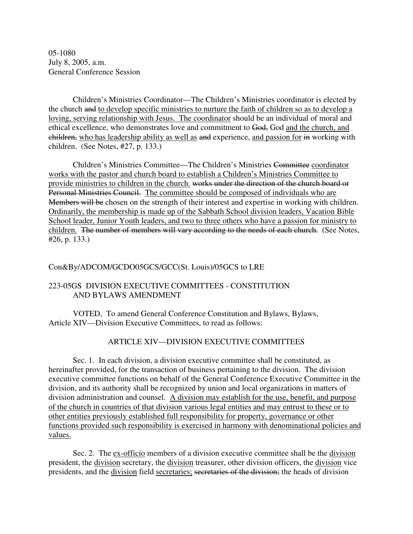05-1080 July 8, 2005, a.m. General Conference Session

Children's Ministries Coordinator—The Children's Ministries coordinator is elected by the church and to develop specific ministries to nurture the faith of children so as to develop a loving, serving relationship with Jesus. The coordinator should be an individual of moral and ethical excellence, who demonstrates love and commitment to God, God and the church, and children, who has leadership ability as well as and experience, and passion for in working with children. (See Notes, #27, p. 133.)

Children's Ministries Committee—The Children's Ministries Committee coordinator works with the pastor and church board to establish a Children's Ministries Committee to provide ministries to children in the church. works under the direction of the church board or Personal Ministries Council. The committee should be composed of individuals who are Members will be chosen on the strength of their interest and expertise in working with children. Ordinarily, the membership is made up of the Sabbath School division leaders, Vacation Bible School leader, Junior Youth leaders, and two to three others who have a passion for ministry to children. The number of members will vary according to the needs of each church. (See Notes, #26, p. 133.)

### Con&By/ADCOM/GCDO05GCS/GCC(St. Louis)/05GCS to LRE

# 223-05GS DIVISION EXECUTIVE COMMITTEES - CONSTITUTION AND BYLAWS AMENDMENT

VOTED, To amend General Conference Constitution and Bylaws, Bylaws, Article XIV—Division Executive Committees, to read as follows:

# ARTICLE XIV—DIVISION EXECUTIVE COMMITTEES

Sec. 1. In each division, a division executive committee shall be constituted, as hereinafter provided, for the transaction of business pertaining to the division. The division executive committee functions on behalf of the General Conference Executive Committee in the division, and its authority shall be recognized by union and local organizations in matters of division administration and counsel. A division may establish for the use, benefit, and purpose of the church in countries of that division various legal entities and may entrust to these or to other entities previously established full responsibility for property, governance or other functions provided such responsibility is exercised in harmony with denominational policies and values.

Sec. 2. The ex-officio members of a division executive committee shall be the division president, the division secretary, the division treasurer, other division officers, the division vice presidents, and the division field secretaries; secretaries of the division; the heads of division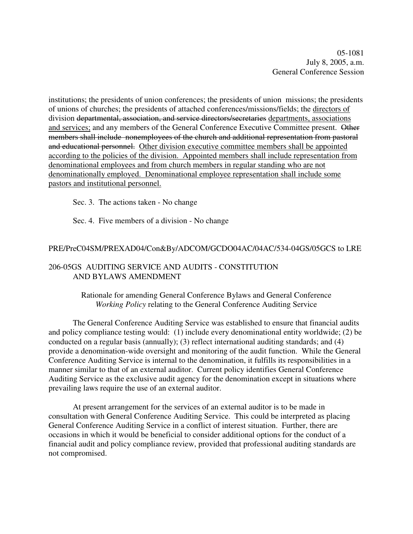05-1081 July 8, 2005, a.m. General Conference Session

institutions; the presidents of union conferences; the presidents of union missions; the presidents of unions of churches; the presidents of attached conferences/missions/fields; the directors of division departmental, association, and service directors/secretaries departments, associations and services; and any members of the General Conference Executive Committee present. Other members shall include nonemployees of the church and additional representation from pastoral and educational personnel. Other division executive committee members shall be appointed according to the policies of the division. Appointed members shall include representation from denominational employees and from church members in regular standing who are not denominationally employed. Denominational employee representation shall include some pastors and institutional personnel.

Sec. 3. The actions taken - No change

Sec. 4. Five members of a division - No change

#### PRE/PreC04SM/PREXAD04/Con&By/ADCOM/GCDO04AC/04AC/534-04GS/05GCS to LRE

### 206-05GS AUDITING SERVICE AND AUDITS - CONSTITUTION AND BYLAWS AMENDMENT

Rationale for amending General Conference Bylaws and General Conference *Working Policy* relating to the General Conference Auditing Service

The General Conference Auditing Service was established to ensure that financial audits and policy compliance testing would: (1) include every denominational entity worldwide; (2) be conducted on a regular basis (annually); (3) reflect international auditing standards; and (4) provide a denomination-wide oversight and monitoring of the audit function. While the General Conference Auditing Service is internal to the denomination, it fulfills its responsibilities in a manner similar to that of an external auditor. Current policy identifies General Conference Auditing Service as the exclusive audit agency for the denomination except in situations where prevailing laws require the use of an external auditor.

At present arrangement for the services of an external auditor is to be made in consultation with General Conference Auditing Service. This could be interpreted as placing General Conference Auditing Service in a conflict of interest situation. Further, there are occasions in which it would be beneficial to consider additional options for the conduct of a financial audit and policy compliance review, provided that professional auditing standards are not compromised.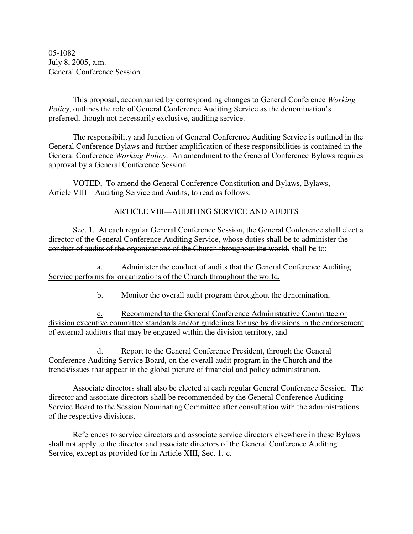05-1082 July 8, 2005, a.m. General Conference Session

This proposal, accompanied by corresponding changes to General Conference *Working Policy*, outlines the role of General Conference Auditing Service as the denomination's preferred, though not necessarily exclusive, auditing service.

The responsibility and function of General Conference Auditing Service is outlined in the General Conference Bylaws and further amplification of these responsibilities is contained in the General Conference *Working Policy*. An amendment to the General Conference Bylaws requires approval by a General Conference Session

VOTED, To amend the General Conference Constitution and Bylaws, Bylaws, Article VIII—Auditing Service and Audits, to read as follows:

ARTICLE VIII—AUDITING SERVICE AND AUDITS

Sec. 1. At each regular General Conference Session, the General Conference shall elect a director of the General Conference Auditing Service, whose duties shall be to administer the conduct of audits of the organizations of the Church throughout the world. shall be to:

a. Administer the conduct of audits that the General Conference Auditing Service performs for organizations of the Church throughout the world,

b. Monitor the overall audit program throughout the denomination,

c. Recommend to the General Conference Administrative Committee or division executive committee standards and/or guidelines for use by divisions in the endorsement of external auditors that may be engaged within the division territory, and

d. Report to the General Conference President, through the General Conference Auditing Service Board, on the overall audit program in the Church and the trends/issues that appear in the global picture of financial and policy administration.

Associate directors shall also be elected at each regular General Conference Session. The director and associate directors shall be recommended by the General Conference Auditing Service Board to the Session Nominating Committee after consultation with the administrations of the respective divisions.

References to service directors and associate service directors elsewhere in these Bylaws shall not apply to the director and associate directors of the General Conference Auditing Service, except as provided for in Article XIII, Sec. 1.-c.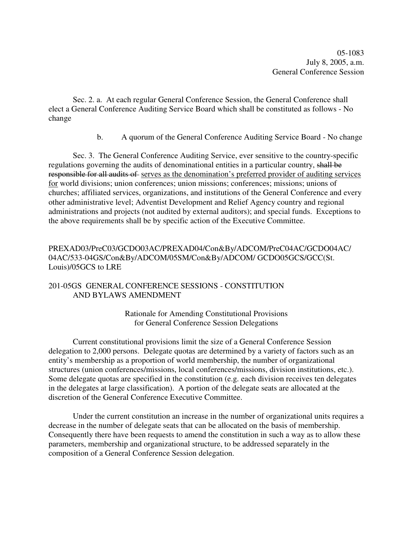05-1083 July 8, 2005, a.m. General Conference Session

Sec. 2. a. At each regular General Conference Session, the General Conference shall elect a General Conference Auditing Service Board which shall be constituted as follows - No change

b. A quorum of the General Conference Auditing Service Board - No change

Sec. 3. The General Conference Auditing Service, ever sensitive to the country-specific regulations governing the audits of denominational entities in a particular country, shall be responsible for all audits of serves as the denomination's preferred provider of auditing services for world divisions; union conferences; union missions; conferences; missions; unions of churches; affiliated services, organizations, and institutions of the General Conference and every other administrative level; Adventist Development and Relief Agency country and regional administrations and projects (not audited by external auditors); and special funds. Exceptions to the above requirements shall be by specific action of the Executive Committee.

# PREXAD03/PreC03/GCDO03AC/PREXAD04/Con&By/ADCOM/PreC04AC/GCDO04AC/ 04AC/533-04GS/Con&By/ADCOM/05SM/Con&By/ADCOM/ GCDO05GCS/GCC(St. Louis)/05GCS to LRE

# 201-05GS GENERAL CONFERENCE SESSIONS - CONSTITUTION AND BYLAWS AMENDMENT

Rationale for Amending Constitutional Provisions for General Conference Session Delegations

Current constitutional provisions limit the size of a General Conference Session delegation to 2,000 persons. Delegate quotas are determined by a variety of factors such as an entity's membership as a proportion of world membership, the number of organizational structures (union conferences/missions, local conferences/missions, division institutions, etc.). Some delegate quotas are specified in the constitution (e.g. each division receives ten delegates in the delegates at large classification). A portion of the delegate seats are allocated at the discretion of the General Conference Executive Committee.

Under the current constitution an increase in the number of organizational units requires a decrease in the number of delegate seats that can be allocated on the basis of membership. Consequently there have been requests to amend the constitution in such a way as to allow these parameters, membership and organizational structure, to be addressed separately in the composition of a General Conference Session delegation.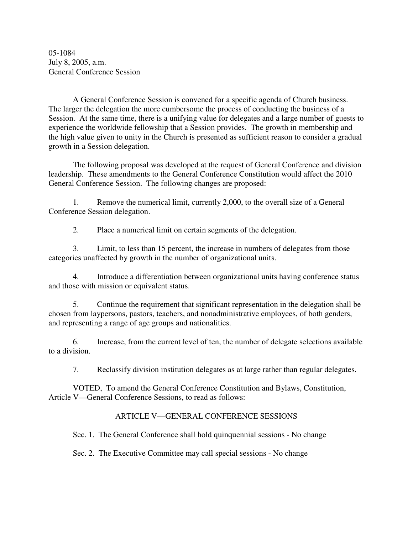05-1084 July 8, 2005, a.m. General Conference Session

A General Conference Session is convened for a specific agenda of Church business. The larger the delegation the more cumbersome the process of conducting the business of a Session. At the same time, there is a unifying value for delegates and a large number of guests to experience the worldwide fellowship that a Session provides. The growth in membership and the high value given to unity in the Church is presented as sufficient reason to consider a gradual growth in a Session delegation.

The following proposal was developed at the request of General Conference and division leadership. These amendments to the General Conference Constitution would affect the 2010 General Conference Session. The following changes are proposed:

1. Remove the numerical limit, currently 2,000, to the overall size of a General Conference Session delegation.

2. Place a numerical limit on certain segments of the delegation.

3. Limit, to less than 15 percent, the increase in numbers of delegates from those categories unaffected by growth in the number of organizational units.

4. Introduce a differentiation between organizational units having conference status and those with mission or equivalent status.

5. Continue the requirement that significant representation in the delegation shall be chosen from laypersons, pastors, teachers, and nonadministrative employees, of both genders, and representing a range of age groups and nationalities.

6. Increase, from the current level of ten, the number of delegate selections available to a division.

7. Reclassify division institution delegates as at large rather than regular delegates.

VOTED, To amend the General Conference Constitution and Bylaws, Constitution, Article V—General Conference Sessions, to read as follows:

### ARTICLE V—GENERAL CONFERENCE SESSIONS

Sec. 1. The General Conference shall hold quinquennial sessions - No change

Sec. 2. The Executive Committee may call special sessions - No change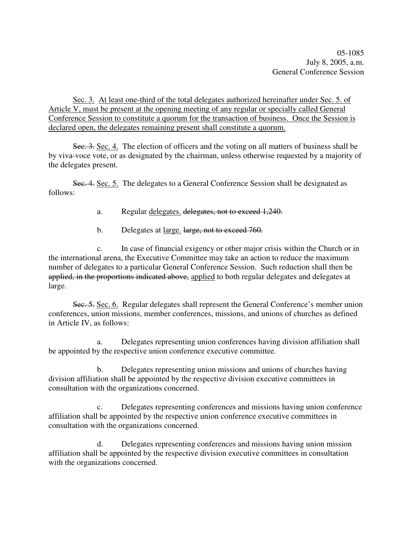05-1085 July 8, 2005, a.m. General Conference Session

Sec. 3. At least one-third of the total delegates authorized hereinafter under Sec. 5. of Article V, must be present at the opening meeting of any regular or specially called General Conference Session to constitute a quorum for the transaction of business. Once the Session is declared open, the delegates remaining present shall constitute a quorum.

Sec. 3. Sec. 4. The election of officers and the voting on all matters of business shall be by viva-voce vote, or as designated by the chairman, unless otherwise requested by a majority of the delegates present.

Sec. 4. Sec. 5. The delegates to a General Conference Session shall be designated as follows:

a. Regular delegates. delegates, not to exceed 1,240.

b. Delegates at <u>large, large, not to exceed 760</u>.

c. In case of financial exigency or other major crisis within the Church or in the international arena, the Executive Committee may take an action to reduce the maximum number of delegates to a particular General Conference Session. Such reduction shall then be applied, in the proportions indicated above, applied to both regular delegates and delegates at large.

Sec. 5. Sec. 6. Regular delegates shall represent the General Conference's member union conferences, union missions, member conferences, missions, and unions of churches as defined in Article IV, as follows:

a. Delegates representing union conferences having division affiliation shall be appointed by the respective union conference executive committee.

b. Delegates representing union missions and unions of churches having division affiliation shall be appointed by the respective division executive committees in consultation with the organizations concerned.

c. Delegates representing conferences and missions having union conference affiliation shall be appointed by the respective union conference executive committees in consultation with the organizations concerned.

d. Delegates representing conferences and missions having union mission affiliation shall be appointed by the respective division executive committees in consultation with the organizations concerned.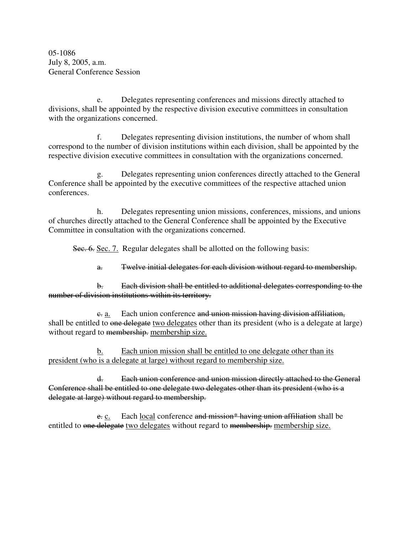05-1086 July 8, 2005, a.m. General Conference Session

e. Delegates representing conferences and missions directly attached to divisions, shall be appointed by the respective division executive committees in consultation with the organizations concerned.

f. Delegates representing division institutions, the number of whom shall correspond to the number of division institutions within each division, shall be appointed by the respective division executive committees in consultation with the organizations concerned.

g. Delegates representing union conferences directly attached to the General Conference shall be appointed by the executive committees of the respective attached union conferences.

h. Delegates representing union missions, conferences, missions, and unions of churches directly attached to the General Conference shall be appointed by the Executive Committee in consultation with the organizations concerned.

Sec. 6. Sec. 7. Regular delegates shall be allotted on the following basis:

a. Twelve initial delegates for each division without regard to membership.

b. Each division shall be entitled to additional delegates corresponding to the number of division institutions within its territory.

e. a. Each union conference and union mission having division affiliation, shall be entitled to one delegate two delegates other than its president (who is a delegate at large) without regard to membership. membership size.

b. Each union mission shall be entitled to one delegate other than its president (who is a delegate at large) without regard to membership size.

d. Each union conference and union mission directly attached to the General Conference shall be entitled to one delegate two delegates other than its president (who is a delegate at large) without regard to membership.

e. c. Each local conference and mission\* having union affiliation shall be entitled to one delegate two delegates without regard to membership. membership size.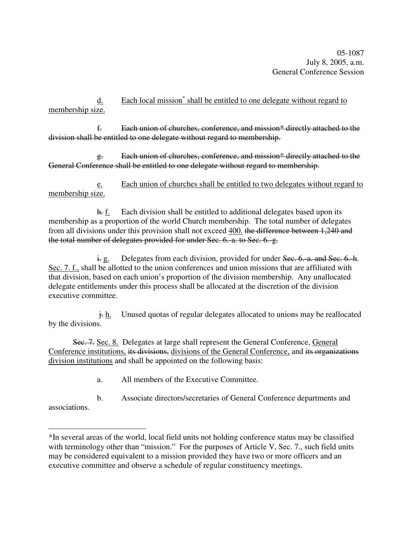05-1087 July 8, 2005, a.m. General Conference Session

d. Each local mission<sup>\*</sup> shall be entitled to one delegate without regard to membership size.

f. Each union of churches, conference, and mission\* directly attached to the division shall be entitled to one delegate without regard to membership.

g. Each union of churches, conference, and mission\* directly attached to the General Conference shall be entitled to one delegate without regard to membership.

e. Each union of churches shall be entitled to two delegates without regard to membership size.

h. f. Each division shall be entitled to additional delegates based upon its membership as a proportion of the world Church membership. The total number of delegates from all divisions under this provision shall not exceed 400. the difference between 1,240 and the total number of delegates provided for under Sec. 6. a. to Sec. 6. g.

 $\frac{1}{2}$  e. Delegates from each division, provided for under Sec. 6.-a. and Sec. 6.-h. Sec. 7. f., shall be allotted to the union conferences and union missions that are affiliated with that division, based on each union's proportion of the division membership. Any unallocated delegate entitlements under this process shall be allocated at the discretion of the division executive committee.

 $\frac{1}{k}$  h. Unused quotas of regular delegates allocated to unions may be reallocated by the divisions.

Sec. 7. Sec. 8. Delegates at large shall represent the General Conference, General Conference institutions, its divisions, divisions of the General Conference, and its organizations division institutions and shall be appointed on the following basis:

a. All members of the Executive Committee.

b. Associate directors/secretaries of General Conference departments and

associations.

<sup>\*</sup>In several areas of the world, local field units not holding conference status may be classified with terminology other than "mission." For the purposes of Article V, Sec. 7., such field units may be considered equivalent to a mission provided they have two or more officers and an executive committee and observe a schedule of regular constituency meetings.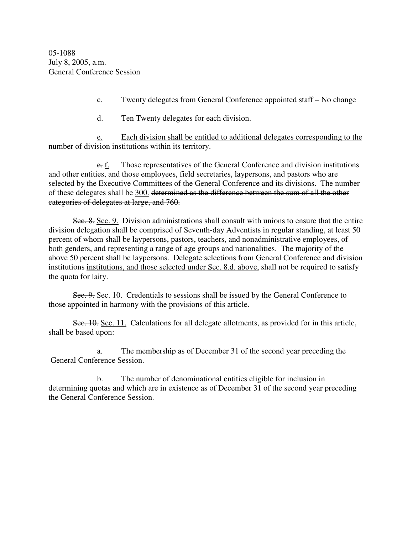- c. Twenty delegates from General Conference appointed staff No change
- d. Ten Twenty delegates for each division.

e. Each division shall be entitled to additional delegates corresponding to the number of division institutions within its territory.

e. f. Those representatives of the General Conference and division institutions and other entities, and those employees, field secretaries, laypersons, and pastors who are selected by the Executive Committees of the General Conference and its divisions. The number of these delegates shall be 300. determined as the difference between the sum of all the other categories of delegates at large, and 760.

Sec. 8. Sec. 9. Division administrations shall consult with unions to ensure that the entire division delegation shall be comprised of Seventh-day Adventists in regular standing, at least 50 percent of whom shall be laypersons, pastors, teachers, and nonadministrative employees, of both genders, and representing a range of age groups and nationalities. The majority of the above 50 percent shall be laypersons. Delegate selections from General Conference and division institutions institutions, and those selected under Sec. 8.d. above, shall not be required to satisfy the quota for laity.

Sec. 9. Sec. 10. Credentials to sessions shall be issued by the General Conference to those appointed in harmony with the provisions of this article.

Sec. 10. Sec. 11. Calculations for all delegate allotments, as provided for in this article, shall be based upon:

a. The membership as of December 31 of the second year preceding the General Conference Session.

b. The number of denominational entities eligible for inclusion in determining quotas and which are in existence as of December 31 of the second year preceding the General Conference Session.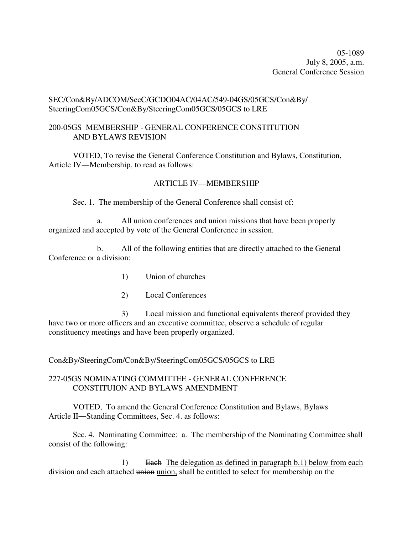05-1089 July 8, 2005, a.m. General Conference Session

### SEC/Con&By/ADCOM/SecC/GCDO04AC/04AC/549-04GS/05GCS/Con&By/ SteeringCom05GCS/Con&By/SteeringCom05GCS/05GCS to LRE

### 200-05GS MEMBERSHIP - GENERAL CONFERENCE CONSTITUTION AND BYLAWS REVISION

VOTED, To revise the General Conference Constitution and Bylaws, Constitution, Article IV—Membership, to read as follows:

### ARTICLE IV—MEMBERSHIP

Sec. 1. The membership of the General Conference shall consist of:

a. All union conferences and union missions that have been properly organized and accepted by vote of the General Conference in session.

b. All of the following entities that are directly attached to the General Conference or a division:

- 1) Union of churches
- 2) Local Conferences

3) Local mission and functional equivalents thereof provided they have two or more officers and an executive committee, observe a schedule of regular constituency meetings and have been properly organized.

Con&By/SteeringCom/Con&By/SteeringCom05GCS/05GCS to LRE

# 227-05GS NOMINATING COMMITTEE - GENERAL CONFERENCE CONSTITUION AND BYLAWS AMENDMENT

VOTED, To amend the General Conference Constitution and Bylaws, Bylaws Article II—Standing Committees, Sec. 4. as follows:

Sec. 4. Nominating Committee: a. The membership of the Nominating Committee shall consist of the following:

1) Each The delegation as defined in paragraph b.1) below from each division and each attached union union, shall be entitled to select for membership on the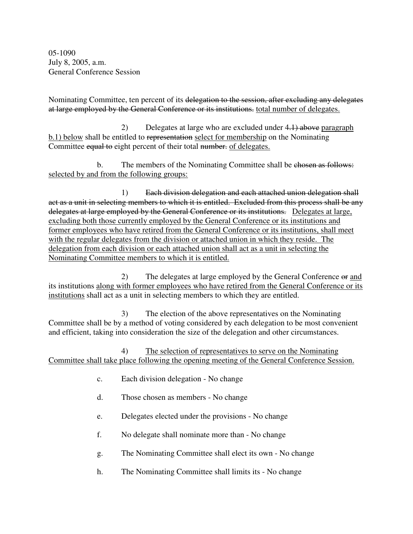05-1090 July 8, 2005, a.m. General Conference Session

Nominating Committee, ten percent of its delegation to the session, after excluding any delegates at large employed by the General Conference or its institutions. total number of delegates.

2) Delegates at large who are excluded under 4.1) above paragraph b.1) below shall be entitled to representation select for membership on the Nominating Committee equal to eight percent of their total number. of delegates.

b. The members of the Nominating Committee shall be chosen as follows: selected by and from the following groups:

1) Each division delegation and each attached union delegation shall act as a unit in selecting members to which it is entitled. Excluded from this process shall be any delegates at large employed by the General Conference or its institutions. Delegates at large, excluding both those currently employed by the General Conference or its institutions and former employees who have retired from the General Conference or its institutions, shall meet with the regular delegates from the division or attached union in which they reside. The delegation from each division or each attached union shall act as a unit in selecting the Nominating Committee members to which it is entitled.

2) The delegates at large employed by the General Conference or and its institutions along with former employees who have retired from the General Conference or its institutions shall act as a unit in selecting members to which they are entitled.

3) The election of the above representatives on the Nominating Committee shall be by a method of voting considered by each delegation to be most convenient and efficient, taking into consideration the size of the delegation and other circumstances.

4) The selection of representatives to serve on the Nominating Committee shall take place following the opening meeting of the General Conference Session.

- c. Each division delegation No change
- d. Those chosen as members No change
- e. Delegates elected under the provisions No change
- f. No delegate shall nominate more than No change
- g. The Nominating Committee shall elect its own No change
- h. The Nominating Committee shall limits its No change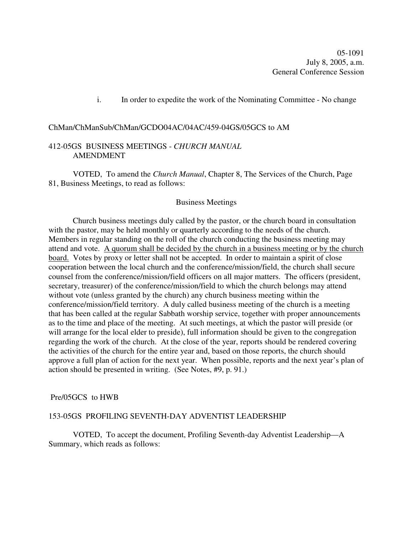05-1091 July 8, 2005, a.m. General Conference Session

i. In order to expedite the work of the Nominating Committee - No change

#### ChMan/ChManSub/ChMan/GCDO04AC/04AC/459-04GS/05GCS to AM

### 412-05GS BUSINESS MEETINGS - *CHURCH MANUAL* AMENDMENT

VOTED, To amend the *Church Manual*, Chapter 8, The Services of the Church, Page 81, Business Meetings, to read as follows:

#### Business Meetings

Church business meetings duly called by the pastor, or the church board in consultation with the pastor, may be held monthly or quarterly according to the needs of the church. Members in regular standing on the roll of the church conducting the business meeting may attend and vote. A quorum shall be decided by the church in a business meeting or by the church board. Votes by proxy or letter shall not be accepted. In order to maintain a spirit of close cooperation between the local church and the conference/mission/field, the church shall secure counsel from the conference/mission/field officers on all major matters. The officers (president, secretary, treasurer) of the conference/mission/field to which the church belongs may attend without vote (unless granted by the church) any church business meeting within the conference/mission/field territory. A duly called business meeting of the church is a meeting that has been called at the regular Sabbath worship service, together with proper announcements as to the time and place of the meeting. At such meetings, at which the pastor will preside (or will arrange for the local elder to preside), full information should be given to the congregation regarding the work of the church. At the close of the year, reports should be rendered covering the activities of the church for the entire year and, based on those reports, the church should approve a full plan of action for the next year. When possible, reports and the next year's plan of action should be presented in writing. (See Notes, #9, p. 91.)

#### Pre/05GCS to HWB

#### 153-05GS PROFILING SEVENTH-DAY ADVENTIST LEADERSHIP

VOTED, To accept the document, Profiling Seventh-day Adventist Leadership—A Summary, which reads as follows: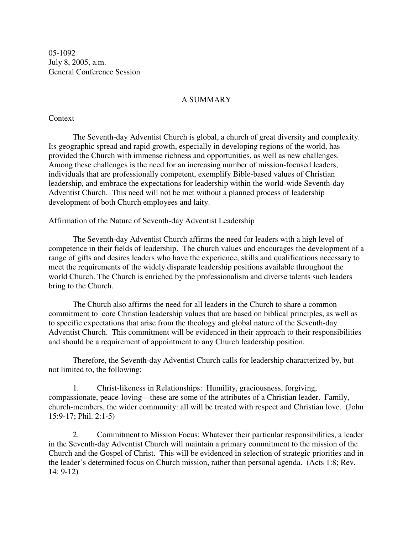05-1092 July 8, 2005, a.m. General Conference Session

#### A SUMMARY

#### **Context**

The Seventh-day Adventist Church is global, a church of great diversity and complexity. Its geographic spread and rapid growth, especially in developing regions of the world, has provided the Church with immense richness and opportunities, as well as new challenges. Among these challenges is the need for an increasing number of mission-focused leaders, individuals that are professionally competent, exemplify Bible-based values of Christian leadership, and embrace the expectations for leadership within the world-wide Seventh-day Adventist Church. This need will not be met without a planned process of leadership development of both Church employees and laity.

Affirmation of the Nature of Seventh-day Adventist Leadership

The Seventh-day Adventist Church affirms the need for leaders with a high level of competence in their fields of leadership. The church values and encourages the development of a range of gifts and desires leaders who have the experience, skills and qualifications necessary to meet the requirements of the widely disparate leadership positions available throughout the world Church. The Church is enriched by the professionalism and diverse talents such leaders bring to the Church.

The Church also affirms the need for all leaders in the Church to share a common commitment to core Christian leadership values that are based on biblical principles, as well as to specific expectations that arise from the theology and global nature of the Seventh-day Adventist Church. This commitment will be evidenced in their approach to their responsibilities and should be a requirement of appointment to any Church leadership position.

Therefore, the Seventh-day Adventist Church calls for leadership characterized by, but not limited to, the following:

1. Christ-likeness in Relationships: Humility, graciousness, forgiving, compassionate, peace-loving—these are some of the attributes of a Christian leader. Family, church-members, the wider community: all will be treated with respect and Christian love. (John 15:9-17; Phil. 2:1-5)

2. Commitment to Mission Focus: Whatever their particular responsibilities, a leader in the Seventh-day Adventist Church will maintain a primary commitment to the mission of the Church and the Gospel of Christ. This will be evidenced in selection of strategic priorities and in the leader's determined focus on Church mission, rather than personal agenda. (Acts 1:8; Rev. 14: 9-12)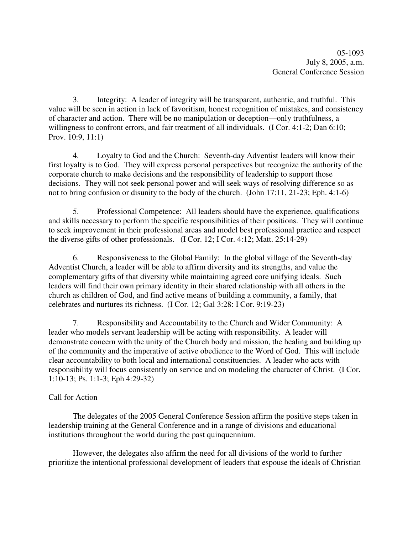05-1093 July 8, 2005, a.m. General Conference Session

3. Integrity: A leader of integrity will be transparent, authentic, and truthful. This value will be seen in action in lack of favoritism, honest recognition of mistakes, and consistency of character and action. There will be no manipulation or deception—only truthfulness, a willingness to confront errors, and fair treatment of all individuals. (I Cor. 4:1-2; Dan 6:10; Prov. 10:9, 11:1)

4. Loyalty to God and the Church: Seventh-day Adventist leaders will know their first loyalty is to God. They will express personal perspectives but recognize the authority of the corporate church to make decisions and the responsibility of leadership to support those decisions. They will not seek personal power and will seek ways of resolving difference so as not to bring confusion or disunity to the body of the church. (John 17:11, 21-23; Eph. 4:1-6)

5. Professional Competence: All leaders should have the experience, qualifications and skills necessary to perform the specific responsibilities of their positions. They will continue to seek improvement in their professional areas and model best professional practice and respect the diverse gifts of other professionals. (I Cor. 12; I Cor. 4:12; Matt. 25:14-29)

6. Responsiveness to the Global Family: In the global village of the Seventh-day Adventist Church, a leader will be able to affirm diversity and its strengths, and value the complementary gifts of that diversity while maintaining agreed core unifying ideals. Such leaders will find their own primary identity in their shared relationship with all others in the church as children of God, and find active means of building a community, a family, that celebrates and nurtures its richness. (I Cor. 12; Gal 3:28: I Cor. 9:19-23)

7. Responsibility and Accountability to the Church and Wider Community: A leader who models servant leadership will be acting with responsibility. A leader will demonstrate concern with the unity of the Church body and mission, the healing and building up of the community and the imperative of active obedience to the Word of God. This will include clear accountability to both local and international constituencies. A leader who acts with responsibility will focus consistently on service and on modeling the character of Christ. (I Cor. 1:10-13; Ps. 1:1-3; Eph 4:29-32)

# Call for Action

The delegates of the 2005 General Conference Session affirm the positive steps taken in leadership training at the General Conference and in a range of divisions and educational institutions throughout the world during the past quinquennium.

However, the delegates also affirm the need for all divisions of the world to further prioritize the intentional professional development of leaders that espouse the ideals of Christian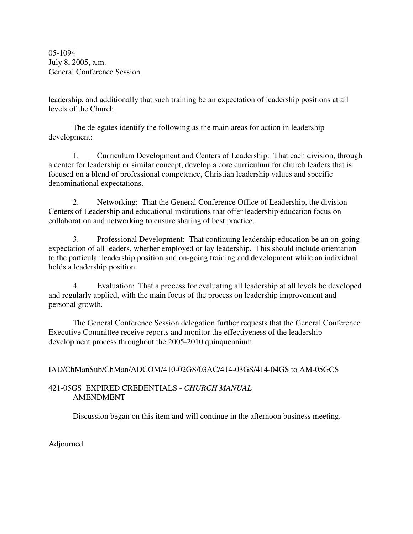05-1094 July 8, 2005, a.m. General Conference Session

leadership, and additionally that such training be an expectation of leadership positions at all levels of the Church.

The delegates identify the following as the main areas for action in leadership development:

1. Curriculum Development and Centers of Leadership: That each division, through a center for leadership or similar concept, develop a core curriculum for church leaders that is focused on a blend of professional competence, Christian leadership values and specific denominational expectations.

2. Networking: That the General Conference Office of Leadership, the division Centers of Leadership and educational institutions that offer leadership education focus on collaboration and networking to ensure sharing of best practice.

3. Professional Development: That continuing leadership education be an on-going expectation of all leaders, whether employed or lay leadership. This should include orientation to the particular leadership position and on-going training and development while an individual holds a leadership position.

4. Evaluation: That a process for evaluating all leadership at all levels be developed and regularly applied, with the main focus of the process on leadership improvement and personal growth.

The General Conference Session delegation further requests that the General Conference Executive Committee receive reports and monitor the effectiveness of the leadership development process throughout the 2005-2010 quinquennium.

# IAD/ChManSub/ChMan/ADCOM/410-02GS/03AC/414-03GS/414-04GS to AM-05GCS

# 421-05GS EXPIRED CREDENTIALS - *CHURCH MANUAL* AMENDMENT

Discussion began on this item and will continue in the afternoon business meeting.

Adjourned